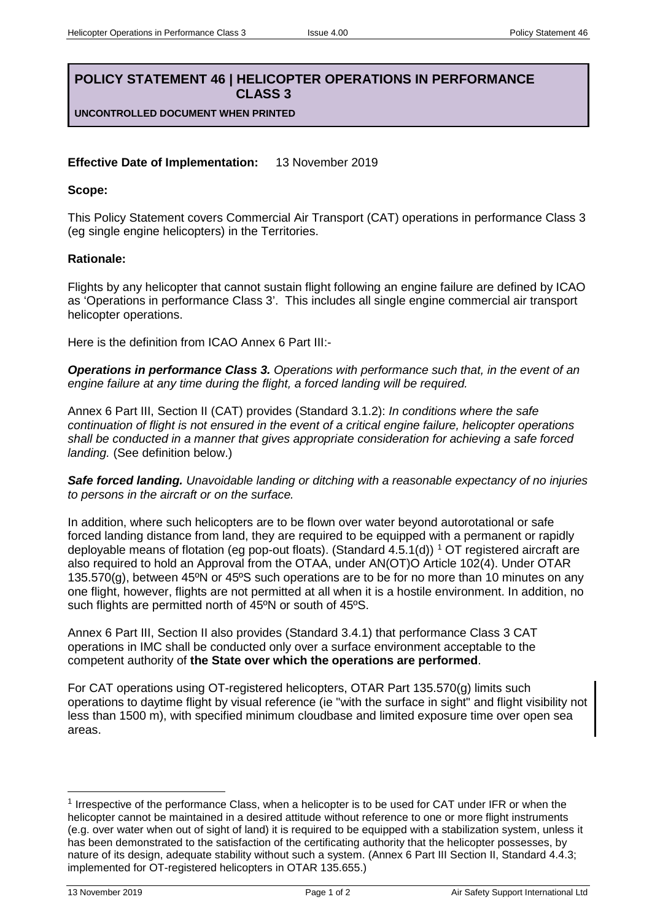# **POLICY STATEMENT 46 | HELICOPTER OPERATIONS IN PERFORMANCE CLASS 3**

**UNCONTROLLED DOCUMENT WHEN PRINTED**

## **Effective Date of Implementation:** 13 November 2019

#### **Scope:**

This Policy Statement covers Commercial Air Transport (CAT) operations in performance Class 3 (eg single engine helicopters) in the Territories.

#### **Rationale:**

Flights by any helicopter that cannot sustain flight following an engine failure are defined by ICAO as 'Operations in performance Class 3'. This includes all single engine commercial air transport helicopter operations.

Here is the definition from ICAO Annex 6 Part III:-

*Operations in performance Class 3. Operations with performance such that, in the event of an engine failure at any time during the flight, a forced landing will be required.*

Annex 6 Part III, Section II (CAT) provides (Standard 3.1.2): *In conditions where the safe continuation of flight is not ensured in the event of a critical engine failure, helicopter operations shall be conducted in a manner that gives appropriate consideration for achieving a safe forced landing.* (See definition below.)

*Safe forced landing. Unavoidable landing or ditching with a reasonable expectancy of no injuries to persons in the aircraft or on the surface.*

In addition, where such helicopters are to be flown over water beyond autorotational or safe forced landing distance from land, they are required to be equipped with a permanent or rapidly deployable means of flotation (eg pop-out floats). (Standard 4.5.[1](#page-0-0)(d)) <sup>1</sup> OT registered aircraft are also required to hold an Approval from the OTAA, under AN(OT)O Article 102(4). Under OTAR 135.570(g), between 45ºN or 45ºS such operations are to be for no more than 10 minutes on any one flight, however, flights are not permitted at all when it is a hostile environment. In addition, no such flights are permitted north of 45°N or south of 45°S.

Annex 6 Part III, Section II also provides (Standard 3.4.1) that performance Class 3 CAT operations in IMC shall be conducted only over a surface environment acceptable to the competent authority of **the State over which the operations are performed**.

For CAT operations using OT-registered helicopters, OTAR Part 135.570(g) limits such operations to daytime flight by visual reference (ie "with the surface in sight" and flight visibility not less than 1500 m), with specified minimum cloudbase and limited exposure time over open sea areas.

<span id="page-0-0"></span> $1$  Irrespective of the performance Class, when a helicopter is to be used for CAT under IFR or when the helicopter cannot be maintained in a desired attitude without reference to one or more flight instruments (e.g. over water when out of sight of land) it is required to be equipped with a stabilization system, unless it has been demonstrated to the satisfaction of the certificating authority that the helicopter possesses, by nature of its design, adequate stability without such a system. (Annex 6 Part III Section II, Standard 4.4.3; implemented for OT-registered helicopters in OTAR 135.655.)